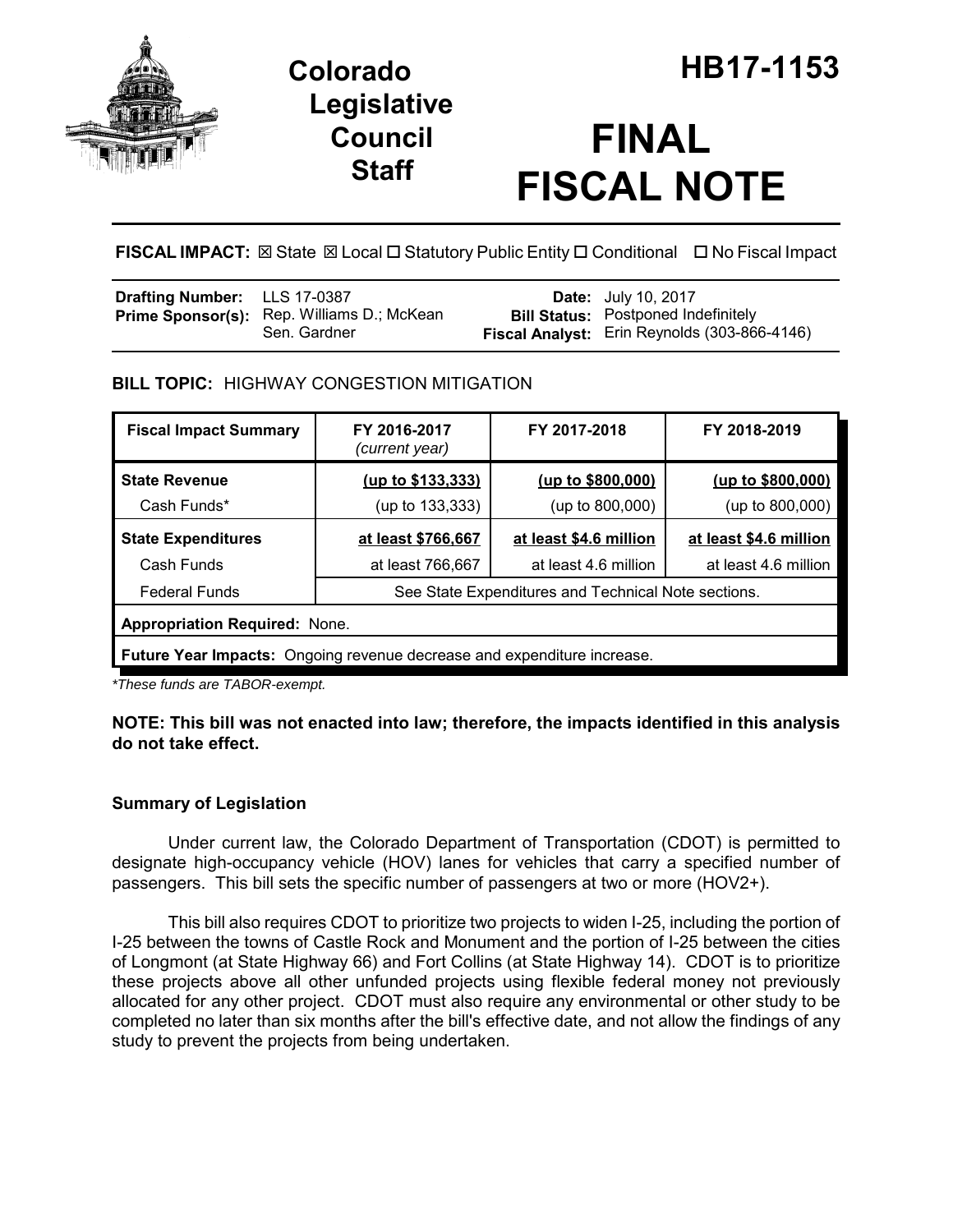

## **Legislative Council Staff**

# **FINAL FISCAL NOTE**

**FISCAL IMPACT: ⊠** State **⊠** Local □ Statutory Public Entity □ Conditional □ No Fiscal Impact

| <b>Drafting Number:</b> LLS 17-0387 |                                                            | <b>Date:</b> July 10, 2017                                                                 |
|-------------------------------------|------------------------------------------------------------|--------------------------------------------------------------------------------------------|
|                                     | Prime Sponsor(s): Rep. Williams D.; McKean<br>Sen. Gardner | <b>Bill Status:</b> Postponed Indefinitely<br>Fiscal Analyst: Erin Reynolds (303-866-4146) |

## **BILL TOPIC:** HIGHWAY CONGESTION MITIGATION

| <b>Fiscal Impact Summary</b>                                                   | FY 2016-2017<br>(current year)                      | FY 2017-2018           | FY 2018-2019           |  |  |  |
|--------------------------------------------------------------------------------|-----------------------------------------------------|------------------------|------------------------|--|--|--|
| <b>State Revenue</b>                                                           | (up to \$133,333)                                   | (up to \$800,000)      | (up to \$800,000)      |  |  |  |
| Cash Funds*                                                                    | (up to 133,333)                                     | (up to 800,000)        | (up to 800,000)        |  |  |  |
| <b>State Expenditures</b>                                                      | at least \$766,667                                  | at least \$4.6 million | at least \$4.6 million |  |  |  |
| Cash Funds                                                                     | at least 766,667                                    | at least 4.6 million   | at least 4.6 million   |  |  |  |
| <b>Federal Funds</b>                                                           | See State Expenditures and Technical Note sections. |                        |                        |  |  |  |
| <b>Appropriation Required: None.</b>                                           |                                                     |                        |                        |  |  |  |
| <b>Future Year Impacts:</b> Ongoing revenue decrease and expenditure increase. |                                                     |                        |                        |  |  |  |

*\*These funds are TABOR-exempt.*

## **NOTE: This bill was not enacted into law; therefore, the impacts identified in this analysis do not take effect.**

## **Summary of Legislation**

Under current law, the Colorado Department of Transportation (CDOT) is permitted to designate high-occupancy vehicle (HOV) lanes for vehicles that carry a specified number of passengers. This bill sets the specific number of passengers at two or more (HOV2+).

This bill also requires CDOT to prioritize two projects to widen I-25, including the portion of I-25 between the towns of Castle Rock and Monument and the portion of I-25 between the cities of Longmont (at State Highway 66) and Fort Collins (at State Highway 14). CDOT is to prioritize these projects above all other unfunded projects using flexible federal money not previously allocated for any other project. CDOT must also require any environmental or other study to be completed no later than six months after the bill's effective date, and not allow the findings of any study to prevent the projects from being undertaken.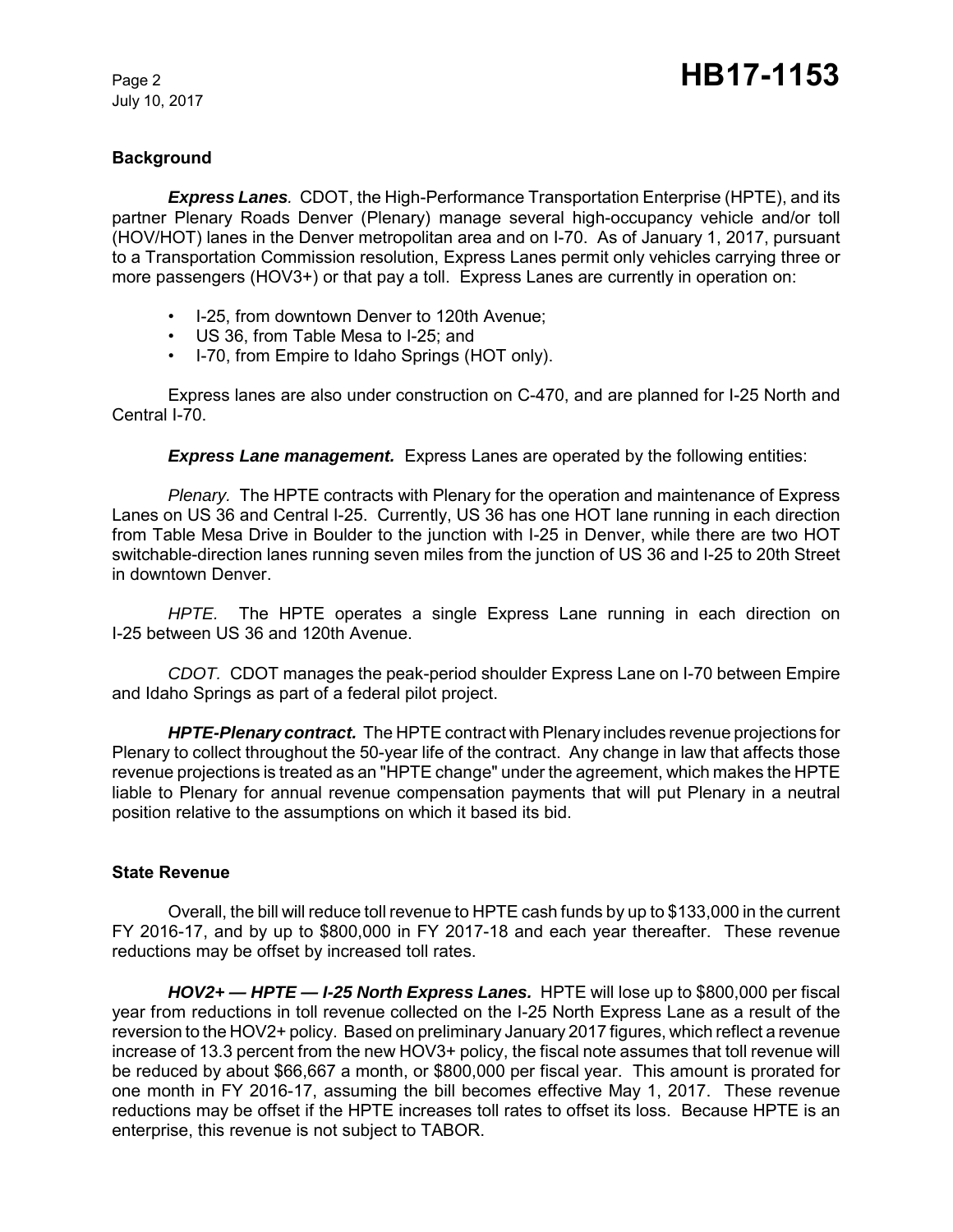July 10, 2017

## **Background**

*Express Lanes.* CDOT, the High-Performance Transportation Enterprise (HPTE), and its partner Plenary Roads Denver (Plenary) manage several high-occupancy vehicle and/or toll (HOV/HOT) lanes in the Denver metropolitan area and on I-70. As of January 1, 2017, pursuant to a Transportation Commission resolution, Express Lanes permit only vehicles carrying three or more passengers (HOV3+) or that pay a toll. Express Lanes are currently in operation on:

- I-25, from downtown Denver to 120th Avenue;
- US 36, from Table Mesa to I-25; and
- I-70, from Empire to Idaho Springs (HOT only).

Express lanes are also under construction on C-470, and are planned for I-25 North and Central I-70.

**Express Lane management.** Express Lanes are operated by the following entities:

*Plenary.* The HPTE contracts with Plenary for the operation and maintenance of Express Lanes on US 36 and Central I-25. Currently, US 36 has one HOT lane running in each direction from Table Mesa Drive in Boulder to the junction with I-25 in Denver, while there are two HOT switchable-direction lanes running seven miles from the junction of US 36 and I-25 to 20th Street in downtown Denver.

*HPTE.* The HPTE operates a single Express Lane running in each direction on I-25 between US 36 and 120th Avenue.

*CDOT.* CDOT manages the peak-period shoulder Express Lane on I-70 between Empire and Idaho Springs as part of a federal pilot project.

*HPTE-Plenary contract.* The HPTE contract with Plenary includes revenue projections for Plenary to collect throughout the 50-year life of the contract. Any change in law that affects those revenue projections is treated as an "HPTE change" under the agreement, which makes the HPTE liable to Plenary for annual revenue compensation payments that will put Plenary in a neutral position relative to the assumptions on which it based its bid.

#### **State Revenue**

Overall, the bill will reduce toll revenue to HPTE cash funds by up to \$133,000 in the current FY 2016-17, and by up to \$800,000 in FY 2017-18 and each year thereafter. These revenue reductions may be offset by increased toll rates.

*HOV2+ — HPTE — I-25 North Express Lanes.* HPTE will lose up to \$800,000 per fiscal year from reductions in toll revenue collected on the I-25 North Express Lane as a result of the reversion to the HOV2+ policy. Based on preliminary January 2017 figures, which reflect a revenue increase of 13.3 percent from the new HOV3+ policy, the fiscal note assumes that toll revenue will be reduced by about \$66,667 a month, or \$800,000 per fiscal year. This amount is prorated for one month in FY 2016-17, assuming the bill becomes effective May 1, 2017. These revenue reductions may be offset if the HPTE increases toll rates to offset its loss. Because HPTE is an enterprise, this revenue is not subject to TABOR.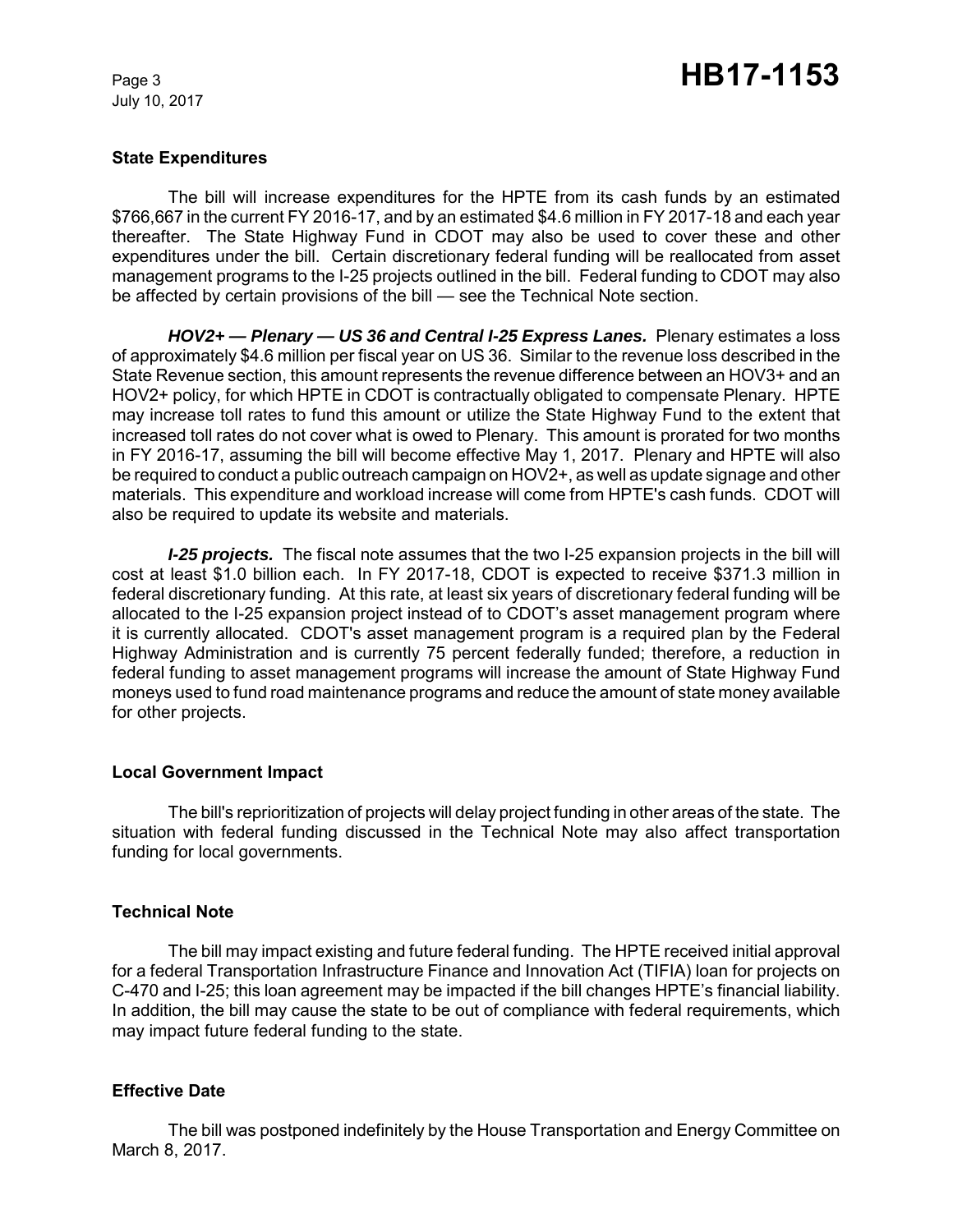July 10, 2017

#### **State Expenditures**

The bill will increase expenditures for the HPTE from its cash funds by an estimated \$766,667 in the current FY 2016-17, and by an estimated \$4.6 million in FY 2017-18 and each year thereafter. The State Highway Fund in CDOT may also be used to cover these and other expenditures under the bill. Certain discretionary federal funding will be reallocated from asset management programs to the I-25 projects outlined in the bill. Federal funding to CDOT may also be affected by certain provisions of the bill — see the Technical Note section.

*HOV2+ — Plenary — US 36 and Central I-25 Express Lanes.* Plenary estimates a loss of approximately \$4.6 million per fiscal year on US 36. Similar to the revenue loss described in the State Revenue section, this amount represents the revenue difference between an HOV3+ and an HOV2+ policy, for which HPTE in CDOT is contractually obligated to compensate Plenary. HPTE may increase toll rates to fund this amount or utilize the State Highway Fund to the extent that increased toll rates do not cover what is owed to Plenary. This amount is prorated for two months in FY 2016-17, assuming the bill will become effective May 1, 2017. Plenary and HPTE will also be required to conduct a public outreach campaign on HOV2+, as well as update signage and other materials. This expenditure and workload increase will come from HPTE's cash funds. CDOT will also be required to update its website and materials.

*I-25 projects.* The fiscal note assumes that the two I-25 expansion projects in the bill will cost at least \$1.0 billion each. In FY 2017-18, CDOT is expected to receive \$371.3 million in federal discretionary funding. At this rate, at least six years of discretionary federal funding will be allocated to the I-25 expansion project instead of to CDOT's asset management program where it is currently allocated. CDOT's asset management program is a required plan by the Federal Highway Administration and is currently 75 percent federally funded; therefore, a reduction in federal funding to asset management programs will increase the amount of State Highway Fund moneys used to fund road maintenance programs and reduce the amount of state money available for other projects.

#### **Local Government Impact**

The bill's reprioritization of projects will delay project funding in other areas of the state. The situation with federal funding discussed in the Technical Note may also affect transportation funding for local governments.

## **Technical Note**

The bill may impact existing and future federal funding. The HPTE received initial approval for a federal Transportation Infrastructure Finance and Innovation Act (TIFIA) loan for projects on C-470 and I-25; this loan agreement may be impacted if the bill changes HPTE's financial liability. In addition, the bill may cause the state to be out of compliance with federal requirements, which may impact future federal funding to the state.

## **Effective Date**

The bill was postponed indefinitely by the House Transportation and Energy Committee on March 8, 2017.